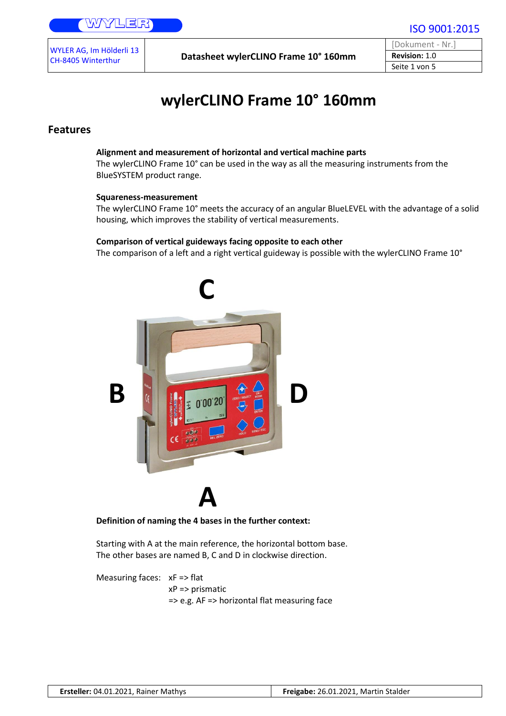Datasheet wylerCLINO Frame 10° 160mm

[Dokument - Nr.] **Revision:** 1.0 Seite 1 von 5

ISO 9001:2015

# **wylerCLINO Frame 10° 160mm**

### **Features**

### **Alignment and measurement of horizontal and vertical machine parts**

The wylerCLINO Frame 10° can be used in the way as all the measuring instruments from the BlueSYSTEM product range.

#### **Squareness-measurement**

The wylerCLINO Frame 10° meets the accuracy of an angular BlueLEVEL with the advantage of a solid housing, which improves the stability of vertical measurements.

### **Comparison of vertical guideways facing opposite to each other**

The comparison of a left and a right vertical guideway is possible with the wylerCLINO Frame 10°



**Definition of naming the 4 bases in the further context:**

Starting with A at the main reference, the horizontal bottom base. The other bases are named B, C and D in clockwise direction.

```
Measuring faces: xF => flat
      xP => prismatic
      => e.g. AF => horizontal flat measuring face
```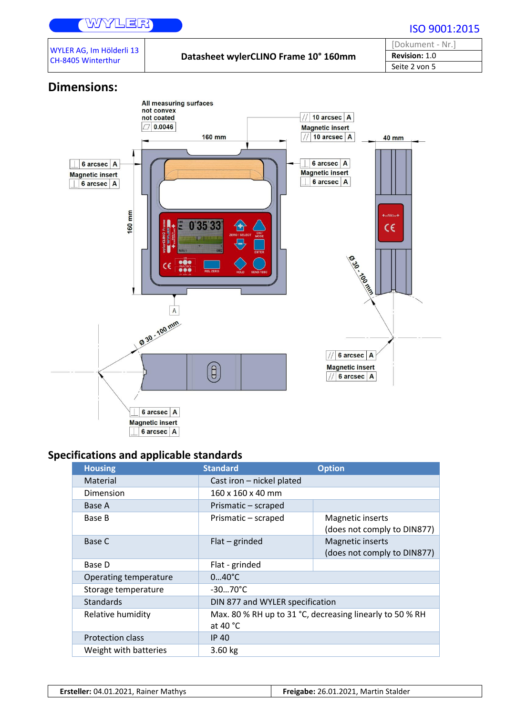## WYZLER

| WYLER AG, Im Hölderli 13 |
|--------------------------|
| CH-8405 Winterthur       |

Datasheet wylerCLINO Frame 10° 160mm

| [Dokument - Nr.]     |
|----------------------|
| <b>Revision: 1.0</b> |
| Seite 2 von 5        |

## **Dimensions:**



## **Specifications and applicable standards**

| <b>Housing</b>        | <b>Standard</b>                 | <b>Option</b>                                            |
|-----------------------|---------------------------------|----------------------------------------------------------|
| Material              | Cast iron - nickel plated       |                                                          |
| Dimension             | 160 x 160 x 40 mm               |                                                          |
| Base A                | Prismatic - scraped             |                                                          |
| Base B                | Prismatic - scraped             | Magnetic inserts<br>(does not comply to DIN877)          |
| Base C                | $Flat$ – grinded                | Magnetic inserts<br>(does not comply to DIN877)          |
| Base D                | Flat - grinded                  |                                                          |
| Operating temperature | $040^{\circ}C$                  |                                                          |
| Storage temperature   | $-3070^{\circ}C$                |                                                          |
| <b>Standards</b>      | DIN 877 and WYLER specification |                                                          |
| Relative humidity     | at 40 °C                        | Max. 80 % RH up to 31 °C, decreasing linearly to 50 % RH |
| Protection class      | <b>IP 40</b>                    |                                                          |
| Weight with batteries | 3.60 kg                         |                                                          |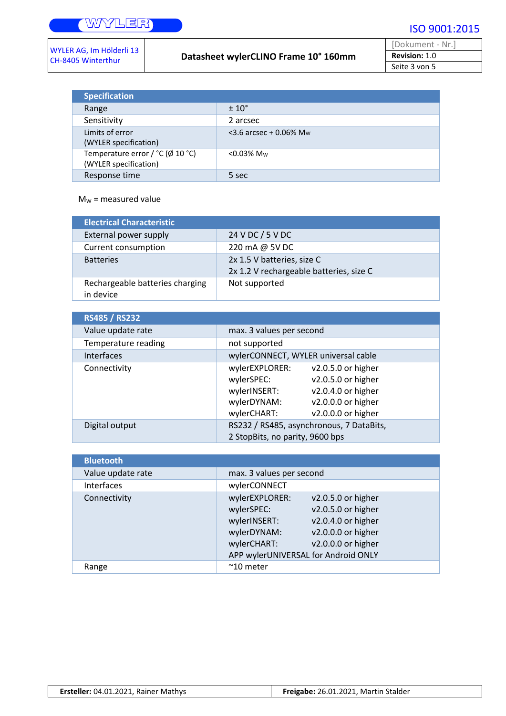Τ

| WYLER AG, Im Hölderli 13 |  |
|--------------------------|--|
| CH-8405 Winterthur       |  |

### Datasheet wylerCLINO Frame 10° 160mm

| [Dokument - Nr.]     |  |
|----------------------|--|
| <b>Revision: 1.0</b> |  |
| Seite 3 von 5        |  |

| <b>Specification</b>                                                      |                                       |
|---------------------------------------------------------------------------|---------------------------------------|
| Range                                                                     | $\pm 10^{\circ}$                      |
| Sensitivity                                                               | 2 arcsec                              |
| Limits of error<br>(WYLER specification)                                  | $<$ 3.6 arcsec + 0.06% M <sub>w</sub> |
| Temperature error / $°C$ ( $\emptyset$ 10 $°C$ )<br>(WYLER specification) | $<$ 0.03% M <sub>w</sub>              |
| Response time                                                             | 5 sec                                 |

### $M_W$  = measured value

| <b>Electrical Characteristic</b>             |                                                                       |
|----------------------------------------------|-----------------------------------------------------------------------|
| External power supply                        | 24 V DC / 5 V DC                                                      |
| Current consumption                          | 220 mA @ 5V DC                                                        |
| <b>Batteries</b>                             | 2x 1.5 V batteries, size C<br>2x 1.2 V rechargeable batteries, size C |
| Rechargeable batteries charging<br>in device | Not supported                                                         |

| <b>RS485 / RS232</b> |                                          |
|----------------------|------------------------------------------|
| Value update rate    | max. 3 values per second                 |
| Temperature reading  | not supported                            |
| <b>Interfaces</b>    | wylerCONNECT, WYLER universal cable      |
| Connectivity         | wylerEXPLORER:<br>v2.0.5.0 or higher     |
|                      | v2.0.5.0 or higher<br>wylerSPEC:         |
|                      | v2.0.4.0 or higher<br>wylerINSERT:       |
|                      | v2.0.0.0 or higher<br>wylerDYNAM:        |
|                      | v2.0.0.0 or higher<br>wylerCHART:        |
| Digital output       | RS232 / RS485, asynchronous, 7 DataBits, |
|                      | 2 StopBits, no parity, 9600 bps          |

| <b>Bluetooth</b>  |                                                                                                                   |                                                                                                            |
|-------------------|-------------------------------------------------------------------------------------------------------------------|------------------------------------------------------------------------------------------------------------|
| Value update rate | max. 3 values per second                                                                                          |                                                                                                            |
| Interfaces        | wylerCONNECT                                                                                                      |                                                                                                            |
| Connectivity      | wylerEXPLORER:<br>wylerSPEC:<br>wylerINSERT:<br>wylerDYNAM:<br>wylerCHART:<br>APP wylerUNIVERSAL for Android ONLY | v2.0.5.0 or higher<br>v2.0.5.0 or higher<br>v2.0.4.0 or higher<br>v2.0.0.0 or higher<br>v2.0.0.0 or higher |
| Range             | $~^{\sim}$ 10 meter                                                                                               |                                                                                                            |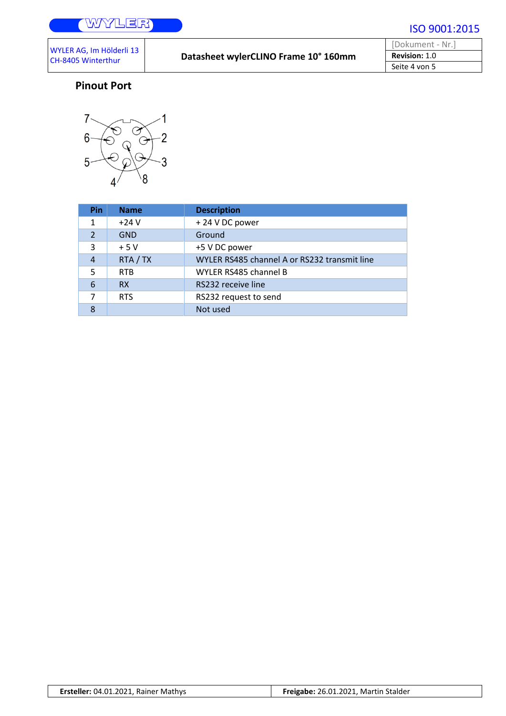| [Dokument - Nr.]     |
|----------------------|
| <b>Revision: 1.0</b> |
| Seite 4 von 5        |

## **Pinout Port**



| Pin            | <b>Name</b> | <b>Description</b>                           |
|----------------|-------------|----------------------------------------------|
| 1              | $+24V$      | +24 V DC power                               |
| $\overline{2}$ | <b>GND</b>  | Ground                                       |
| 3              | $+5V$       | +5 V DC power                                |
| 4              | RTA / TX    | WYLER RS485 channel A or RS232 transmit line |
| 5              | <b>RTB</b>  | WYLER RS485 channel B                        |
| 6              | <b>RX</b>   | RS232 receive line                           |
| 7              | <b>RTS</b>  | RS232 request to send                        |
| 8              |             | Not used                                     |

|  | Ersteller: 04.01.2021, Rainer Mathys | Freigabe: 26.01.2021, Martin Stalder |
|--|--------------------------------------|--------------------------------------|
|--|--------------------------------------|--------------------------------------|